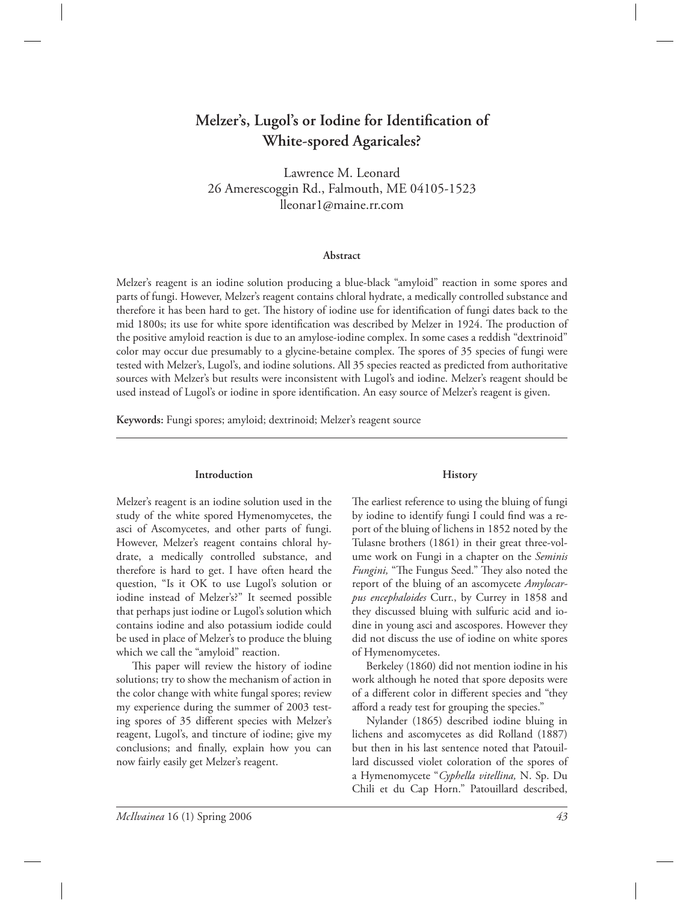# Melzer's, Lugol's or Iodine for Identification of **White-spored Agaricales?**

Lawrence M. Leonard 26 Amerescoggin Rd., Falmouth, ME 04105-1523 lleonar1@maine.rr.com

#### **Abstract**

Melzer's reagent is an iodine solution producing a blue-black "amyloid" reaction in some spores and parts of fungi. However, Melzer's reagent contains chloral hydrate, a medically controlled substance and therefore it has been hard to get. The history of iodine use for identification of fungi dates back to the mid 1800s; its use for white spore identification was described by Melzer in 1924. The production of the positive amyloid reaction is due to an amylose-iodine complex. In some cases a reddish "dextrinoid" color may occur due presumably to a glycine-betaine complex. The spores of 35 species of fungi were tested with Melzer's, Lugol's, and iodine solutions. All 35 species reacted as predicted from authoritative sources with Melzer's but results were inconsistent with Lugol's and iodine. Melzer's reagent should be used instead of Lugol's or iodine in spore identification. An easy source of Melzer's reagent is given.

**Keywords:** Fungi spores; amyloid; dextrinoid; Melzer's reagent source

#### **Introduction**

Melzer's reagent is an iodine solution used in the study of the white spored Hymenomycetes, the asci of Ascomycetes, and other parts of fungi. However, Melzer's reagent contains chloral hydrate, a medically controlled substance, and therefore is hard to get. I have often heard the question, "Is it OK to use Lugol's solution or iodine instead of Melzer's?" It seemed possible that perhaps just iodine or Lugol's solution which contains iodine and also potassium iodide could be used in place of Melzer's to produce the bluing which we call the "amyloid" reaction.

This paper will review the history of iodine solutions; try to show the mechanism of action in the color change with white fungal spores; review my experience during the summer of 2003 testing spores of 35 different species with Melzer's reagent, Lugol's, and tincture of iodine; give my conclusions; and finally, explain how you can now fairly easily get Melzer's reagent.

#### **History**

The earliest reference to using the bluing of fungi by iodine to identify fungi I could find was a report of the bluing of lichens in 1852 noted by the Tulasne brothers (1861) in their great three-volume work on Fungi in a chapter on the *Seminis*  Fungini, "The Fungus Seed." They also noted the report of the bluing of an ascomycete *Amylocarpus encephaloides* Curr., by Currey in 1858 and they discussed bluing with sulfuric acid and iodine in young asci and ascospores. However they did not discuss the use of iodine on white spores of Hymenomycetes.

 Berkeley (1860) did not mention iodine in his work although he noted that spore deposits were of a different color in different species and "they afford a ready test for grouping the species."

 Nylander (1865) described iodine bluing in lichens and ascomycetes as did Rolland (1887) but then in his last sentence noted that Patouillard discussed violet coloration of the spores of a Hymenomycete "*Cyphella vitellina,* N. Sp. Du Chili et du Cap Horn." Patouillard described,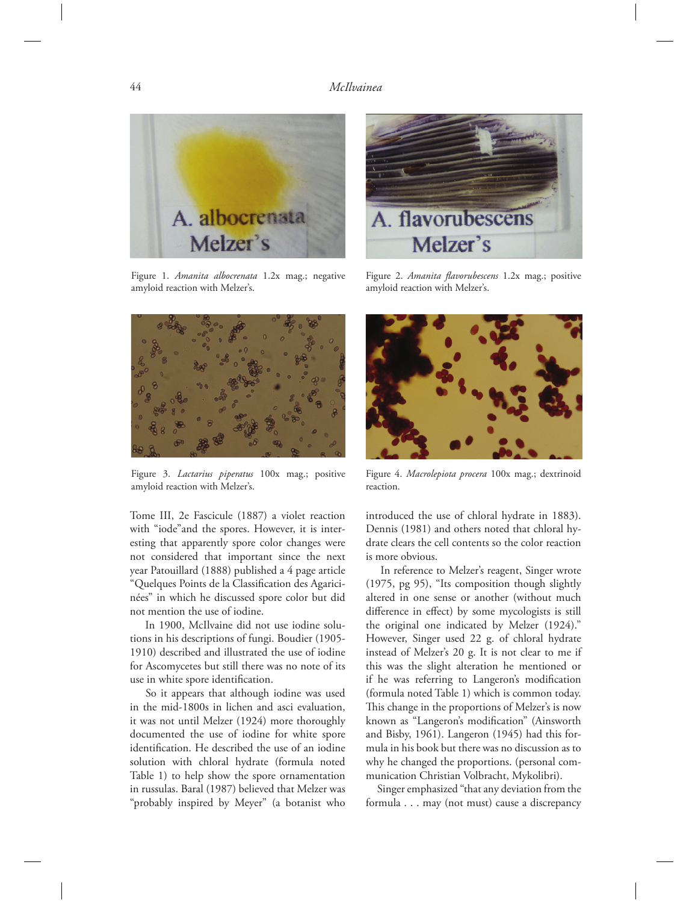

Figure 1. *Amanita albocrenata* 1.2x mag.; negative amyloid reaction with Melzer's.



Figure 3. *Lactarius piperatus* 100x mag.; positive amyloid reaction with Melzer's.

Tome III, 2e Fascicule (1887) a violet reaction with "iode"and the spores. However, it is interesting that apparently spore color changes were not considered that important since the next year Patouillard (1888) published a 4 page article "Quelques Points de la Classification des Agaricinées" in which he discussed spore color but did not mention the use of iodine.

 In 1900, McIlvaine did not use iodine solutions in his descriptions of fungi. Boudier (1905- 1910) described and illustrated the use of iodine for Ascomycetes but still there was no note of its use in white spore identification.

 So it appears that although iodine was used in the mid-1800s in lichen and asci evaluation, it was not until Melzer (1924) more thoroughly documented the use of iodine for white spore identification. He described the use of an iodine solution with chloral hydrate (formula noted Table 1) to help show the spore ornamentation in russulas. Baral (1987) believed that Melzer was "probably inspired by Meyer" (a botanist who



Figure 2. Amanita flavorubescens 1.2x mag.; positive amyloid reaction with Melzer's.



Figure 4. *Macrolepiota procera* 100x mag.; dextrinoid reaction.

introduced the use of chloral hydrate in 1883). Dennis (1981) and others noted that chloral hydrate clears the cell contents so the color reaction is more obvious.

 In reference to Melzer's reagent, Singer wrote (1975, pg 95), "Its composition though slightly altered in one sense or another (without much difference in effect) by some mycologists is still the original one indicated by Melzer (1924)." However, Singer used 22 g. of chloral hydrate instead of Melzer's 20 g. It is not clear to me if this was the slight alteration he mentioned or if he was referring to Langeron's modification (formula noted Table 1) which is common today. This change in the proportions of Melzer's is now known as "Langeron's modification" (Ainsworth and Bisby, 1961). Langeron (1945) had this formula in his book but there was no discussion as to why he changed the proportions. (personal communication Christian Volbracht, Mykolibri).

 Singer emphasized "that any deviation from the formula . . . may (not must) cause a discrepancy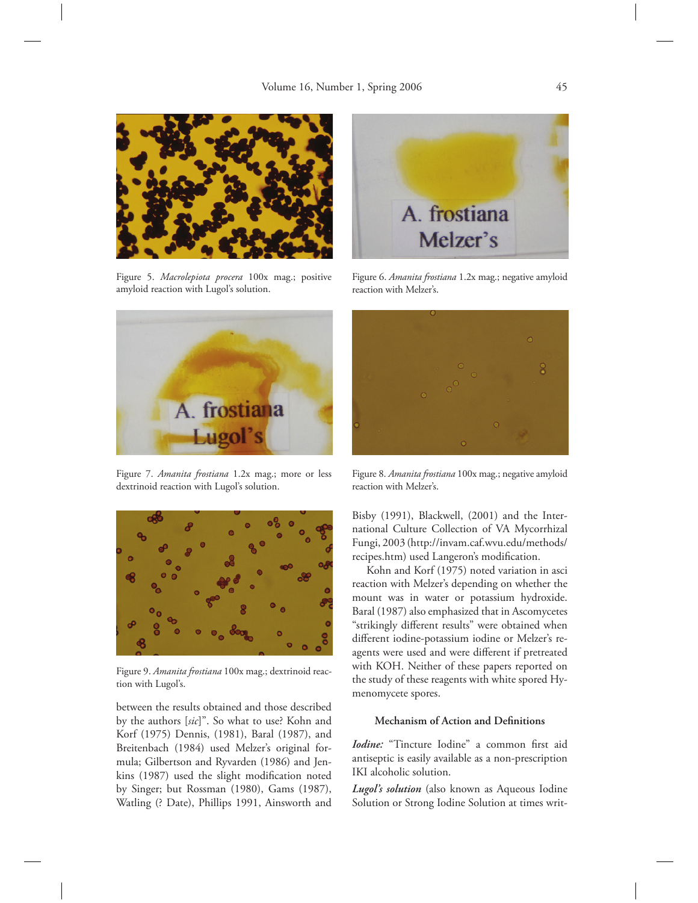

Figure 5. *Macrolepiota procera* 100x mag.; positive amyloid reaction with Lugol's solution.



Figure 7. *Amanita frostiana* 1.2x mag.; more or less dextrinoid reaction with Lugol's solution.



Figure 9. *Amanita frostiana* 100x mag.; dextrinoid reaction with Lugol's.

between the results obtained and those described by the authors [*sic*]". So what to use? Kohn and Korf (1975) Dennis, (1981), Baral (1987), and Breitenbach (1984) used Melzer's original formula; Gilbertson and Ryvarden (1986) and Jenkins (1987) used the slight modification noted by Singer; but Rossman (1980), Gams (1987), Watling (? Date), Phillips 1991, Ainsworth and



Figure 6. *Amanita frostiana* 1.2x mag.; negative amyloid reaction with Melzer's.



Figure 8. *Amanita frostiana* 100x mag.; negative amyloid reaction with Melzer's.

Bisby (1991), Blackwell, (2001) and the International Culture Collection of VA Mycorrhizal Fungi, 2003 (http://invam.caf.wvu.edu/methods/ recipes.htm) used Langeron's modification.

 Kohn and Korf (1975) noted variation in asci reaction with Melzer's depending on whether the mount was in water or potassium hydroxide. Baral (1987) also emphasized that in Ascomycetes "strikingly different results" were obtained when different iodine-potassium iodine or Melzer's reagents were used and were different if pretreated with KOH. Neither of these papers reported on the study of these reagents with white spored Hymenomycete spores.

#### **Mechanism of Action and Definitions**

*Iodine:* "Tincture Iodine" a common first aid antiseptic is easily available as a non-prescription IKI alcoholic solution.

*Lugol's solution* (also known as Aqueous Iodine Solution or Strong Iodine Solution at times writ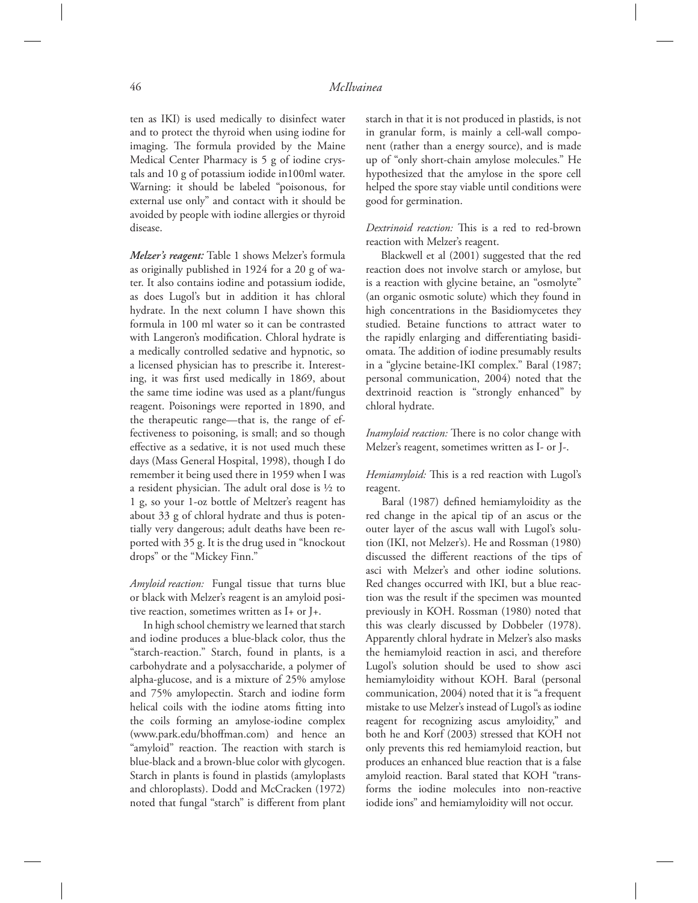ten as IKI) is used medically to disinfect water and to protect the thyroid when using iodine for imaging. The formula provided by the Maine Medical Center Pharmacy is 5 g of iodine crystals and 10 g of potassium iodide in100ml water. Warning: it should be labeled "poisonous, for external use only" and contact with it should be avoided by people with iodine allergies or thyroid disease.

*Melzer's reagent:* Table 1 shows Melzer's formula as originally published in 1924 for a 20 g of water. It also contains iodine and potassium iodide, as does Lugol's but in addition it has chloral hydrate. In the next column I have shown this formula in 100 ml water so it can be contrasted with Langeron's modification. Chloral hydrate is a medically controlled sedative and hypnotic, so a licensed physician has to prescribe it. Interesting, it was first used medically in 1869, about the same time iodine was used as a plant/fungus reagent. Poisonings were reported in 1890, and the therapeutic range—that is, the range of effectiveness to poisoning, is small; and so though effective as a sedative, it is not used much these days (Mass General Hospital, 1998), though I do remember it being used there in 1959 when I was a resident physician. The adult oral dose is  $\frac{1}{2}$  to 1 g, so your 1-oz bottle of Meltzer's reagent has about 33 g of chloral hydrate and thus is potentially very dangerous; adult deaths have been reported with 35 g. It is the drug used in "knockout drops" or the "Mickey Finn."

*Amyloid reaction:* Fungal tissue that turns blue or black with Melzer's reagent is an amyloid positive reaction, sometimes written as I+ or J+.

 In high school chemistry we learned that starch and iodine produces a blue-black color, thus the "starch-reaction." Starch, found in plants, is a carbohydrate and a polysaccharide, a polymer of alpha-glucose, and is a mixture of 25% amylose and 75% amylopectin. Starch and iodine form helical coils with the iodine atoms fitting into the coils forming an amylose-iodine complex (www.park.edu/bhoffman.com) and hence an "amyloid" reaction. The reaction with starch is blue-black and a brown-blue color with glycogen. Starch in plants is found in plastids (amyloplasts and chloroplasts). Dodd and McCracken (1972) noted that fungal "starch" is different from plant starch in that it is not produced in plastids, is not in granular form, is mainly a cell-wall component (rather than a energy source), and is made up of "only short-chain amylose molecules." He hypothesized that the amylose in the spore cell helped the spore stay viable until conditions were good for germination.

#### *Dextrinoid reaction:* This is a red to red-brown reaction with Melzer's reagent.

 Blackwell et al (2001) suggested that the red reaction does not involve starch or amylose, but is a reaction with glycine betaine, an "osmolyte" (an organic osmotic solute) which they found in high concentrations in the Basidiomycetes they studied. Betaine functions to attract water to the rapidly enlarging and differentiating basidiomata. The addition of iodine presumably results in a "glycine betaine-IKI complex." Baral (1987; personal communication, 2004) noted that the dextrinoid reaction is "strongly enhanced" by chloral hydrate.

*Inamyloid reaction:* There is no color change with Melzer's reagent, sometimes written as I- or J-.

*Hemiamyloid:* This is a red reaction with Lugol's reagent.

Baral (1987) defined hemiamyloidity as the red change in the apical tip of an ascus or the outer layer of the ascus wall with Lugol's solution (IKI, not Melzer's). He and Rossman (1980) discussed the different reactions of the tips of asci with Melzer's and other iodine solutions. Red changes occurred with IKI, but a blue reaction was the result if the specimen was mounted previously in KOH. Rossman (1980) noted that this was clearly discussed by Dobbeler (1978). Apparently chloral hydrate in Melzer's also masks the hemiamyloid reaction in asci, and therefore Lugol's solution should be used to show asci hemiamyloidity without KOH. Baral (personal communication, 2004) noted that it is "a frequent mistake to use Melzer's instead of Lugol's as iodine reagent for recognizing ascus amyloidity," and both he and Korf (2003) stressed that KOH not only prevents this red hemiamyloid reaction, but produces an enhanced blue reaction that is a false amyloid reaction. Baral stated that KOH "transforms the iodine molecules into non-reactive iodide ions" and hemiamyloidity will not occur.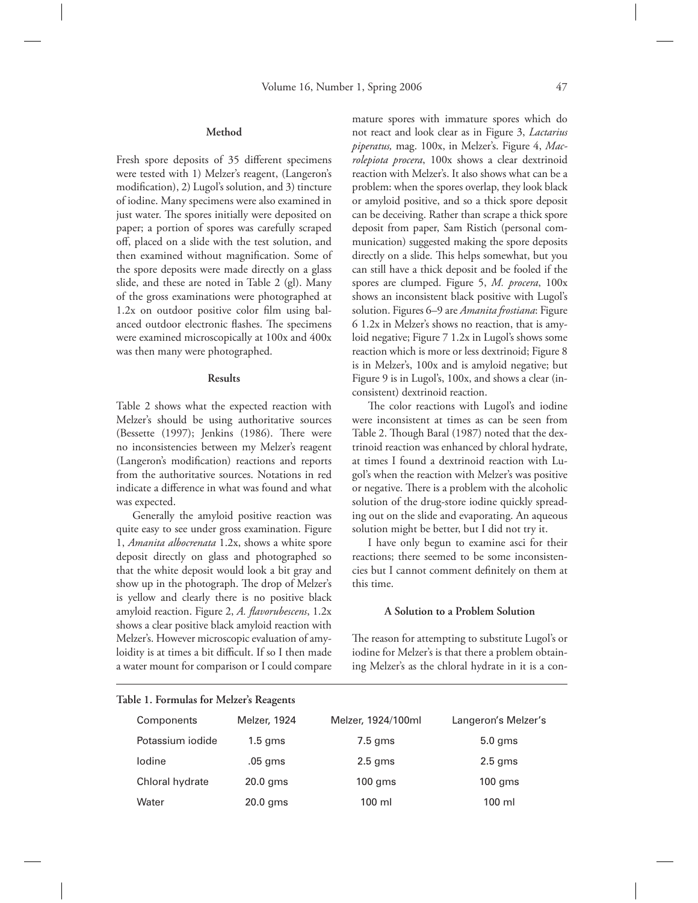#### **Method**

Fresh spore deposits of 35 different specimens were tested with 1) Melzer's reagent, (Langeron's modification), 2) Lugol's solution, and 3) tincture of iodine. Many specimens were also examined in just water. The spores initially were deposited on paper; a portion of spores was carefully scraped off, placed on a slide with the test solution, and then examined without magnification. Some of the spore deposits were made directly on a glass slide, and these are noted in Table 2 (gl). Many of the gross examinations were photographed at  $1.2x$  on outdoor positive color film using balanced outdoor electronic flashes. The specimens were examined microscopically at 100x and 400x was then many were photographed.

#### **Results**

Table 2 shows what the expected reaction with Melzer's should be using authoritative sources (Bessette (1997); Jenkins (1986). There were no inconsistencies between my Melzer's reagent (Langeron's modification) reactions and reports from the authoritative sources. Notations in red indicate a difference in what was found and what was expected.

 Generally the amyloid positive reaction was quite easy to see under gross examination. Figure 1, *Amanita albocrenata* 1.2x, shows a white spore deposit directly on glass and photographed so that the white deposit would look a bit gray and show up in the photograph. The drop of Melzer's is yellow and clearly there is no positive black amyloid reaction. Figure 2, A. flavorubescens, 1.2x shows a clear positive black amyloid reaction with Melzer's. However microscopic evaluation of amyloidity is at times a bit difficult. If so I then made a water mount for comparison or I could compare mature spores with immature spores which do not react and look clear as in Figure 3, *Lactarius piperatus,* mag. 100x, in Melzer's. Figure 4, *Macrolepiota procera*, 100x shows a clear dextrinoid reaction with Melzer's. It also shows what can be a problem: when the spores overlap, they look black or amyloid positive, and so a thick spore deposit can be deceiving. Rather than scrape a thick spore deposit from paper, Sam Ristich (personal communication) suggested making the spore deposits directly on a slide. This helps somewhat, but you can still have a thick deposit and be fooled if the spores are clumped. Figure 5, *M. procera*, 100x shows an inconsistent black positive with Lugol's solution. Figures 6–9 are *Amanita frostiana*: Figure 6 1.2x in Melzer's shows no reaction, that is amyloid negative; Figure 7 1.2x in Lugol's shows some reaction which is more or less dextrinoid; Figure 8 is in Melzer's, 100x and is amyloid negative; but Figure 9 is in Lugol's, 100x, and shows a clear (inconsistent) dextrinoid reaction.

The color reactions with Lugol's and iodine were inconsistent at times as can be seen from Table 2. Though Baral (1987) noted that the dextrinoid reaction was enhanced by chloral hydrate, at times I found a dextrinoid reaction with Lugol's when the reaction with Melzer's was positive or negative. There is a problem with the alcoholic solution of the drug-store iodine quickly spreading out on the slide and evaporating. An aqueous solution might be better, but I did not try it.

 I have only begun to examine asci for their reactions; there seemed to be some inconsistencies but I cannot comment definitely on them at this time.

#### **A Solution to a Problem Solution**

The reason for attempting to substitute Lugol's or iodine for Melzer's is that there a problem obtaining Melzer's as the chloral hydrate in it is a con-

| Components       | Melzer, 1924 | Melzer, 1924/100ml | Langeron's Melzer's |
|------------------|--------------|--------------------|---------------------|
| Potassium iodide | $1.5$ gms    | $7.5$ gms          | $5.0$ gms           |
| lodine           | .05 gms      | $2.5$ gms          | $2.5$ gms           |
| Chloral hydrate  | $20.0$ gms   | $100$ gms          | $100$ gms           |
| Water            | $20.0$ gms   | 100 ml             | $100 \mathrm{ml}$   |

### **Table 1. Formulas for Melzer's Reagents**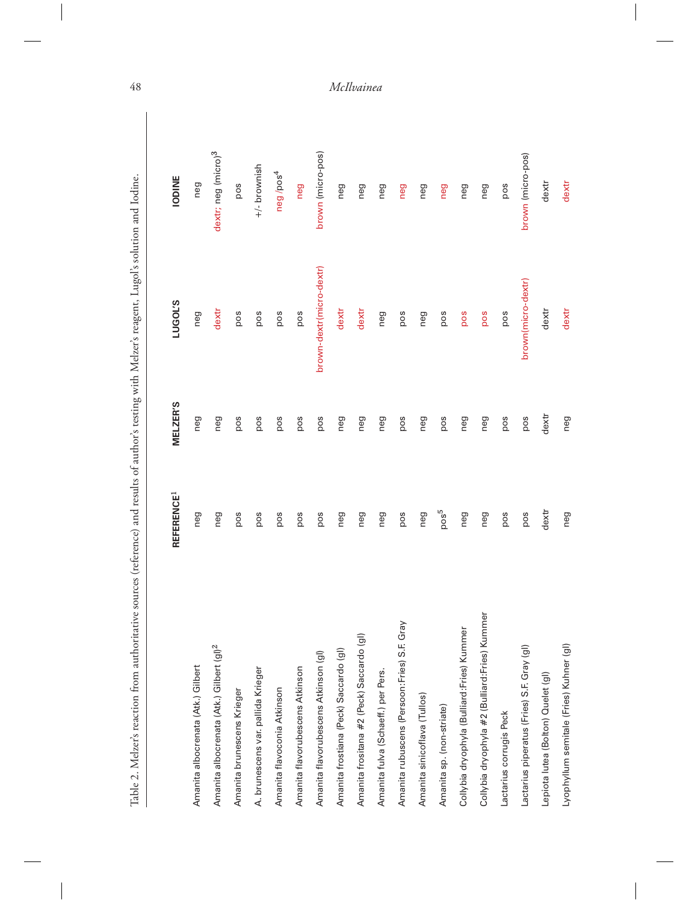| Table 2. Melzer's reaction from authoritative sources (reference) and results of author's testing with Melzer's reagent, Lugol's solution and Iodine. |                        |                 |                          |                                 |
|-------------------------------------------------------------------------------------------------------------------------------------------------------|------------------------|-----------------|--------------------------|---------------------------------|
|                                                                                                                                                       |                        |                 |                          |                                 |
|                                                                                                                                                       | REFERENCE <sup>1</sup> | <b>MELZER'S</b> | <b>LUGOL'S</b>           | <b>IODINE</b>                   |
| Amanita albocrenata (Atk.) Gilbert                                                                                                                    | neg                    | neg             | neg                      | neg                             |
| Amanita albocrenata (Atk.) Gilbert (gl) <sup>2</sup>                                                                                                  | neg                    | neg             | dextr                    | dextr; neg (micro) <sup>3</sup> |
| Amanita brunescens Krieger                                                                                                                            | pos                    | pos             | pos                      | pos                             |
| A. brunescens var. pallida Krieger                                                                                                                    | pos                    | pos             | pos                      | $+/-$ brownish                  |
| Amanita flavoconia Atkinson                                                                                                                           | pos                    | pos             | pos                      | neg/pos <sup>4</sup>            |
| Amanita flavorubescens Atkinson                                                                                                                       | pos                    | pos             | pos                      | neg                             |
| Amanita flavorubescens Atkinson (gl)                                                                                                                  | pos                    | pos             | brown-dextr(micro-dextr) | brown (micro-pos)               |
| Amanita frostiana (Peck) Saccardo (gl)                                                                                                                | neg                    | neg             | dextr                    | neg                             |
| Amanita frositana #2 (Peck) Saccardo (gl)                                                                                                             | neg                    | neg             | dextr                    | neg                             |
| Amanita fulva (Schaeff.) per Pers.                                                                                                                    | neg                    | neg             | neg                      | neg                             |
| Gray<br>Amanita rubuscens (Persoon:Fries) S.F.                                                                                                        | pos                    | pos             | pos                      | neg                             |
| Amanita sinicoflava (Tullos)                                                                                                                          | neg                    | neg             | neg                      | neg                             |
| Amanita sp. (non-striate)                                                                                                                             | pos <sup>5</sup>       | pos             | pos                      | neg                             |
| Collybia dryophyla (Bulliard:Fries) Kummer                                                                                                            | neg                    | neg             | pos                      | neg                             |
| Collybia dryophyla #2 (Bulliard:Fries) Kummer                                                                                                         | neg                    | neg             | pos                      | neg                             |
| Lactarius corrugis Peck                                                                                                                               | pos                    | pos             | pos                      | pos                             |
| Lactarius piperatus (Fries) S.F. Gray (gl)                                                                                                            | pos                    | pos             | brown(micro-dextr)       | brown (micro-pos)               |
| Lepiota lutea (Bolton) Quelet (gl)                                                                                                                    | dextr                  | dextr           | dextr                    | dextr                           |
| Lyophyllum semitale (Fries) Kuhner (gl)                                                                                                               | neg                    | neg             | dextr                    | dextr                           |

 $\overline{\phantom{a}}$ 

48 *McIlvainea*

 $\overline{\phantom{a}}$ 

 $\overline{\phantom{a}}$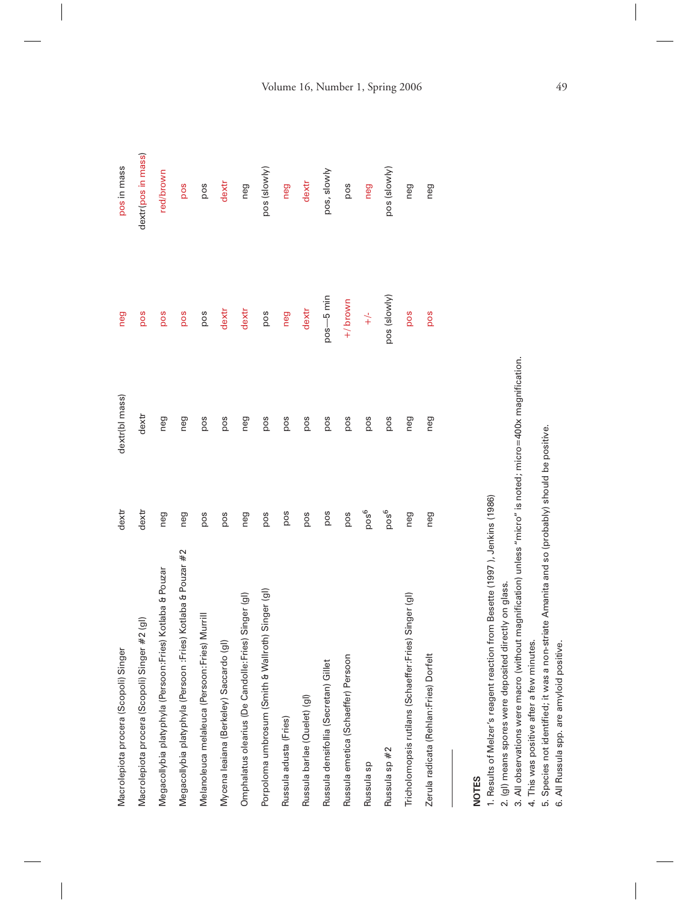| Macrolepiota procera (Scopoli) Singer                          | dextr            | dextr(bl mass) | neg            | pos in mass        |
|----------------------------------------------------------------|------------------|----------------|----------------|--------------------|
| Macrolepiota procera (Scopoli) Singer #2 (gl)                  | dextr            | dextr          | pos            | dextr(pos in mass) |
| Megacollybia platyphyla (Persoon: Fries) Kotlaba & Pouzar      | neg              | neg            | pos            | red/brown          |
| Fries) Kotlaba & Pouzar #2<br>Megacollybia platyphyla (Persoon | neg              | neg            | pos            | pos                |
| Melanoleuca melaleuca (Persoon:Fries) Murrill                  | pos              | pos            | pos            | pos                |
| Mycena leaiana (Berkeley) Saccardo (gl)                        | pos              | pos            | dextr          | $d$ extr           |
| Omphalatus olearius (De Candolle: Fries) Singer (gl)           | neg              | neg            | dextr          | neg                |
| Porpoloma umbrosum (Smith & Wallroth) Singer (gl)              | pos              | pos            | pos            | pos (slowly)       |
| Russula adusta (Fries)                                         | pos              | pos            | neg            | neg                |
| Russula barlae (Quelet) (gl)                                   | pos              | pos            | dextr          | dextr              |
| Russula densifollia (Secretan) Gillet                          | pos              | pos            | pos-5 min      | pos, slowly        |
| Russula emetica (Schaeffer) Persoon                            | pos              | pos            | $+/$ brown     | pos                |
| Russula sp                                                     | pos <sup>6</sup> | pos            | $+\frac{1}{x}$ | neg                |
| Russula sp #2                                                  | pos <sup>6</sup> | pos            | pos (slowly)   | pos (slowly)       |
| Tricholomopsis rutilans (Schaeffer:Fries) Singer (gl)          | neg              | neg            | pos            | neg                |
| Zerula radicata (Rehlan: Fries) Dorfelt                        | neg              | neg            | pos            | neg                |
|                                                                |                  |                |                |                    |

# **NOTES**

1. Results of Melzer's reagent reaction from Besette (1997), Jenkins (1986) 1. Results of Melzer's reagent reaction from Besette (1997 ), Jenkins (1986)

2. (gl) means spores were deposited directly on glass. 2. (gl) means spores were deposited directly on glass.

3. All observations were macro (without magnification) unless "micro" is noted; micro=400x magnification. 3. All observations were macro (without magnifi cation) unless "micro" is noted; micro=400x magnifi cation.

4. This was positive after a few minutes. 4. This was positive after a few minutes.

5. Species not identified; it was a non-striate Amanita and so (probably) should be positive.<br>6. All Russula spp. are amyloid positive. 5. Species not identifi ed; it was a non-striate Amanita and so (probably) should be positive.

6. All Russula spp. are amyloid positive.

## Volume 16, Number 1, Spring 2006 49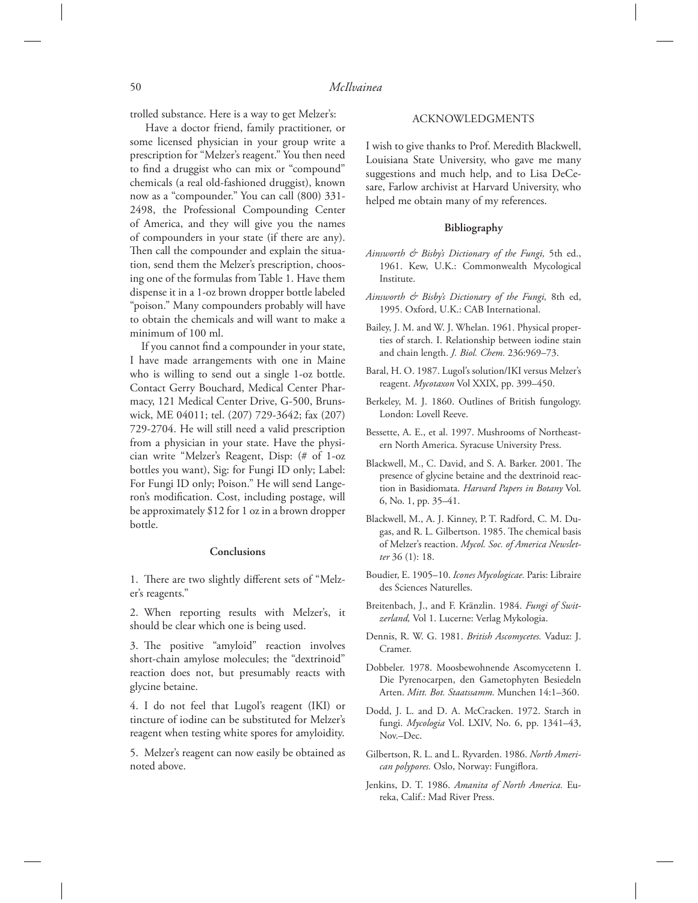trolled substance. Here is a way to get Melzer's:

 Have a doctor friend, family practitioner, or some licensed physician in your group write a prescription for "Melzer's reagent." You then need to find a druggist who can mix or "compound" chemicals (a real old-fashioned druggist), known now as a "compounder." You can call (800) 331- 2498, the Professional Compounding Center of America, and they will give you the names of compounders in your state (if there are any). Then call the compounder and explain the situation, send them the Melzer's prescription, choosing one of the formulas from Table 1. Have them dispense it in a 1-oz brown dropper bottle labeled "poison." Many compounders probably will have to obtain the chemicals and will want to make a minimum of 100 ml.

If you cannot find a compounder in your state, I have made arrangements with one in Maine who is willing to send out a single 1-oz bottle. Contact Gerry Bouchard, Medical Center Pharmacy, 121 Medical Center Drive, G-500, Brunswick, ME 04011; tel. (207) 729-3642; fax (207) 729-2704. He will still need a valid prescription from a physician in your state. Have the physician write "Melzer's Reagent, Disp: (# of 1-oz bottles you want), Sig: for Fungi ID only; Label: For Fungi ID only; Poison." He will send Langeron's modification. Cost, including postage, will be approximately \$12 for 1 oz in a brown dropper bottle.

#### **Conclusions**

1. There are two slightly different sets of "Melzer's reagents."

2. When reporting results with Melzer's, it should be clear which one is being used.

3. The positive "amyloid" reaction involves short-chain amylose molecules; the "dextrinoid" reaction does not, but presumably reacts with glycine betaine.

4. I do not feel that Lugol's reagent (IKI) or tincture of iodine can be substituted for Melzer's reagent when testing white spores for amyloidity.

5. Melzer's reagent can now easily be obtained as noted above.

#### ACKNOWLEDGMENTS

 I wish to give thanks to Prof. Meredith Blackwell, Louisiana State University, who gave me many suggestions and much help, and to Lisa DeCesare, Farlow archivist at Harvard University, who helped me obtain many of my references.

#### **Bibliography**

- *Ainsworth & Bisby's Dictionary of the Fungi,* 5th ed., 1961. Kew, U.K.: Commonwealth Mycological Institute.
- *Ainsworth & Bisby's Dictionary of the Fungi,* 8th ed, 1995. Oxford, U.K.: CAB International.
- Bailey, J. M. and W. J. Whelan. 1961. Physical properties of starch. I. Relationship between iodine stain and chain length. *J. Biol. Chem.* 236:969–73.
- Baral, H. O. 1987. Lugol's solution/IKI versus Melzer's reagent. *Mycotaxon* Vol XXIX, pp. 399–450.
- Berkeley, M. J. 1860. Outlines of British fungology. London: Lovell Reeve.
- Bessette, A. E., et al. 1997. Mushrooms of Northeastern North America. Syracuse University Press.
- Blackwell, M., C. David, and S. A. Barker. 2001. The presence of glycine betaine and the dextrinoid reaction in Basidiomata. *Harvard Papers in Botany* Vol. 6, No. 1, pp. 35–41.
- Blackwell, M., A. J. Kinney, P. T. Radford, C. M. Dugas, and R. L. Gilbertson. 1985. The chemical basis of Melzer's reaction. *Mycol. Soc. of America Newsletter* 36 (1): 18.
- Boudier, E. 1905–10. *Icones Mycologicae.* Paris: Libraire des Sciences Naturelles.
- Breitenbach, J., and F. Kränzlin. 1984. *Fungi of Switzerland,* Vol 1. Lucerne: Verlag Mykologia.
- Dennis, R. W. G. 1981. *British Ascomycetes.* Vaduz: J. Cramer.
- Dobbeler. 1978. Moosbewohnende Ascomycetenn I. Die Pyrenocarpen, den Gametophyten Besiedeln Arten. *Mitt. Bot. Staatssamm.* Munchen 14:1–360.
- Dodd, J. L. and D. A. McCracken. 1972. Starch in fungi. *Mycologia* Vol. LXIV, No. 6, pp. 1341–43, Nov.–Dec.
- Gilbertson, R. L. and L. Ryvarden. 1986. *North American polypores.* Oslo, Norway: Fungiflora.
- Jenkins, D. T. 1986. *Amanita of North America.* Eureka, Calif.: Mad River Press.